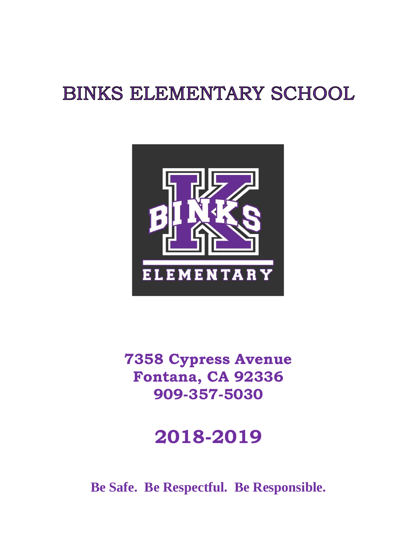## **BINKS ELEMENTARY SCHOOL**



**7358 Cypress Avenue Fontana, CA 92336 909-357-5030**

## **2018-2019**

**Be Safe. Be Respectful. Be Responsible.**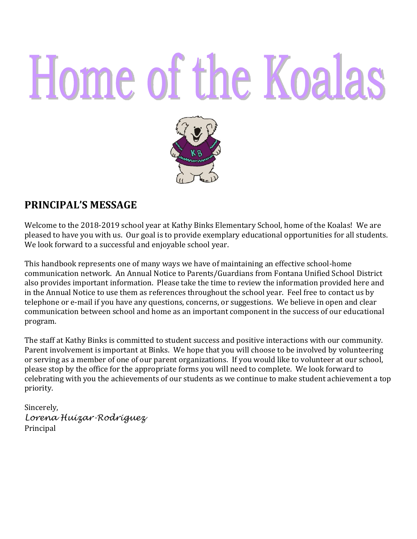# Home of the Koalas



#### **PRINCIPAL'S MESSAGE**

Welcome to the 2018-2019 school year at Kathy Binks Elementary School, home of the Koalas! We are pleased to have you with us. Our goal is to provide exemplary educational opportunities for all students. We look forward to a successful and enjoyable school year.

This handbook represents one of many ways we have of maintaining an effective school-home communication network. An Annual Notice to Parents/Guardians from Fontana Unified School District also provides important information. Please take the time to review the information provided here and in the Annual Notice to use them as references throughout the school year. Feel free to contact us by telephone or e-mail if you have any questions, concerns, or suggestions. We believe in open and clear communication between school and home as an important component in the success of our educational program.

The staff at Kathy Binks is committed to student success and positive interactions with our community. Parent involvement is important at Binks. We hope that you will choose to be involved by volunteering or serving as a member of one of our parent organizations. If you would like to volunteer at our school, please stop by the office for the appropriate forms you will need to complete. We look forward to celebrating with you the achievements of our students as we continue to make student achievement a top priority.

Sincerely, *Lorena Huizar-Rodriguez* Principal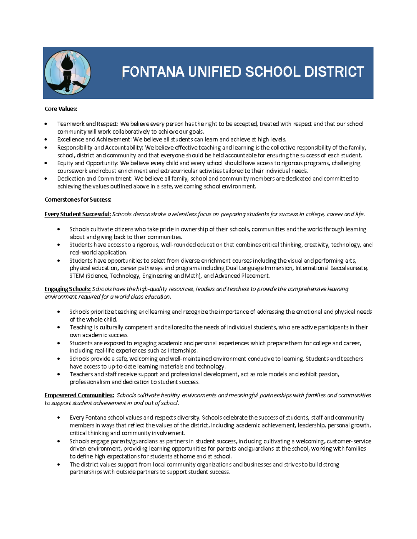

## FONTANA UNIFIED SCHOOL DISTRICT

#### **Core Values:**

- Teamwork and Respect: We believe every person has the right to be accepted, treated with respect and that our school community will work collaboratively to achieve our goals.
- Excellence and Achievement: We believe all students can learn and achieve at high levels.
- Responsibility and Accountability: We believe effective teaching and learning is the collective responsibility of the family. school, district and community and that everyone should be held accountable for ensuring the success of each student.
- Equity and Opportunity: We believe every child and every school should have access to rigorous programs, challenging coursework and robust enrichment and extracurricular activities tailored to their individual needs.
- Dedication and Commitment: We believe all family, school and community members are dedicated and committed to achieving the values outlined above in a safe, welcoming school environment.

#### **Cornerstones for Success:**

Every Student Successful: Schools demonstrate a relentless focus on preparing students for success in college, career and life.

- Schools cultivate ditizens who take pride in ownership of their schools, communities and the world through leaming about and giving back to their communities.
- Students have access to a rigorous, well-rounded education that combines critical thinking, creativity, technology, and real-world application.
- Students have opportunities to select from diverse enrichment courses including the visual and performing arts. physical education, career pathways and programs including Dual Language Immersion, International Baccalaureate, STEM (Science, Technology, Engineering and Math), and Advanced Placement.

#### Engaging Schools: Schools have the high-quality resources, leaders and teachers to provide the comprehensive learning environment required for a world class education.

- Schools prioritize teaching and learning and recognize the importance of addressing the emotional and physical needs of the whole child.
- Teaching is culturally competent and tail ored to the needs of individual students, who are active participants in their own academic success.
- Students are exposed to engaging academic and personal experiences which prepare them for college and career, including real-life experiences such as internships.
- Schools provide a safe, welcoming and well-maintained environment conducive to learning. Students and teachers  $\bullet$ have access to up-to-date learning materials and technology.
- Teachers and staff receive support and professional development, act as role models and exhibit passion,  $\bullet$ professionalism and dedication to student success.

Empowered Communities: Schools cultivate healthy environments and meaningful partnerships with families and communities to support student achievement in and out of school.

- Every Fontana school values and respects diversity. Schools celebrate the success of students, staff and community  $\bullet$ members in ways that reflect the values of the district, including academic achievement, leadership, personal growth, critical thinking and community involvement.
- Schools engage parents/guardians as partners in student success, induding cultivating a welcoming, customer-service  $\bullet$ driven environment, providing learning opportunities for parents and guardians at the school, working with families to define high expectations for students at home and at school.
- The district values support from local community organizations and businesses and strives to build strong  $\bullet$ partnerships with outside partners to support student success.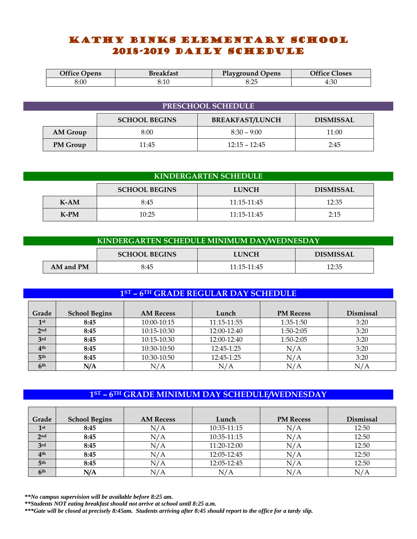#### Kathy Binks ELEMENTARY SCHOOL 2018-2019 daily schedule

| <b>Office Opens</b> | Breakfast | <b>Playground Opens</b> | <b>Office Closes</b> |
|---------------------|-----------|-------------------------|----------------------|
| 8:00                | 3:10      | ے . ب                   | 4:30                 |

| PRESCHOOL SCHEDULE |          |                      |                        |                  |
|--------------------|----------|----------------------|------------------------|------------------|
|                    |          | <b>SCHOOL BEGINS</b> | <b>BREAKFAST/LUNCH</b> | <b>DISMISSAL</b> |
|                    | AM Group | 8:00                 | $8:30 - 9:00$          | 11:00            |
|                    | PM Group | 11:45                | $12:15 - 12:45$        | 2:45             |

| <b>KINDERGARTEN SCHEDULE</b> |        |                      |                 |                  |  |
|------------------------------|--------|----------------------|-----------------|------------------|--|
|                              |        | <b>SCHOOL BEGINS</b> | <b>LUNCH</b>    | <b>DISMISSAL</b> |  |
|                              | $K-AM$ | 8:45                 | $11:15 - 11:45$ | 12:35            |  |
|                              | $K-PM$ | 10:25                | $11:15 - 11:45$ | 2:15             |  |

| KINDERGARTEN SCHEDULE MINIMUM DAY/WEDNESDAY |           |                      |                 |                  |
|---------------------------------------------|-----------|----------------------|-----------------|------------------|
|                                             |           | <b>SCHOOL BEGINS</b> | <b>LUNCH</b>    | <b>DISMISSAL</b> |
|                                             | AM and PM | 8:45                 | $11:15 - 11:45$ | 12:35            |

| 1ST - 6TH GRADE REGULAR DAY SCHEDULE |                      |                  |             |                  |                  |
|--------------------------------------|----------------------|------------------|-------------|------------------|------------------|
| Grade                                | <b>School Begins</b> | <b>AM Recess</b> | Lunch       | <b>PM Recess</b> | <b>Dismissal</b> |
| 1 <sup>st</sup>                      | 8:45                 | 10:00-10:15      | 11:15-11:55 | $1:35-1:50$      | 3:20             |
| 2 <sub>nd</sub>                      | 8:45                 | 10:15-10:30      | 12:00-12:40 | 1:50-2:05        | 3:20             |
| 3rd                                  | 8:45                 | 10:15-10:30      | 12:00-12:40 | $1:50-2:05$      | 3:20             |
| 4 <sup>th</sup>                      | 8:45                 | 10:30-10:50      | 12:45-1:25  | N/A              | 3:20             |
| 5 <sup>th</sup>                      | 8:45                 | 10:30-10:50      | 12:45-1:25  | N/A              | 3:20             |
| 6 <sup>th</sup>                      | N/A                  | N/A              | N/A         | N/A              | N/A              |

#### **1ST – 6TH GRADE MINIMUM DAY SCHEDULE/WEDNESDAY**

| Grade           | <b>School Begins</b> | <b>AM Recess</b> | Lunch       | <b>PM Recess</b> | Dismissal |
|-----------------|----------------------|------------------|-------------|------------------|-----------|
| 1st             | 8:45                 | N/A              | 10:35-11:15 | N/A              | 12:50     |
| 2 <sub>nd</sub> | 8:45                 | N/A              | 10:35-11:15 | N/A              | 12:50     |
| 3rd             | 8:45                 | N/A              | 11:20-12:00 | N/A              | 12:50     |
| 4 <sup>th</sup> | 8:45                 | N/A              | 12:05-12:45 | N/A              | 12:50     |
| 5 <sup>th</sup> | 8:45                 | N/A              | 12:05-12:45 | N/A              | 12:50     |
| 6 <sup>th</sup> | N/A                  | N/A              | N/A         | N/A              |           |

*\*\*No campus supervision will be available before 8:25 am.* 

*\*\*Students NOT eating breakfast should not arrive at school until 8:25 a.m.*

*\*\*\*Gate will be closed at precisely 8:45am. Students arriving after 8:45 should report to the office for a tardy slip.*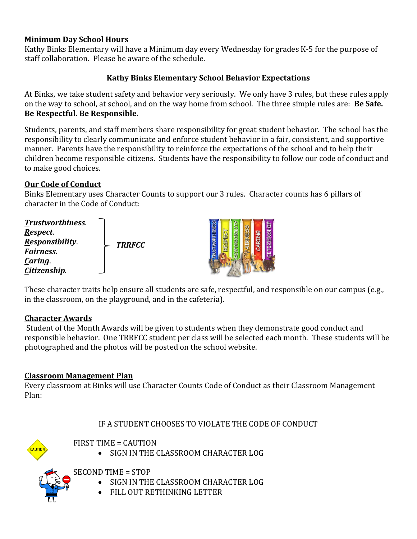#### **Minimum Day School Hours**

Kathy Binks Elementary will have a Minimum day every Wednesday for grades K-5 for the purpose of staff collaboration. Please be aware of the schedule.

#### **Kathy Binks Elementary School Behavior Expectations**

At Binks, we take student safety and behavior very seriously. We only have 3 rules, but these rules apply on the way to school, at school, and on the way home from school. The three simple rules are: **Be Safe. Be Respectful. Be Responsible.**

Students, parents, and staff members share responsibility for great student behavior. The school has the responsibility to clearly communicate and enforce student behavior in a fair, consistent, and supportive manner. Parents have the responsibility to reinforce the expectations of the school and to help their children become responsible citizens. Students have the responsibility to follow our code of conduct and to make good choices.

#### **Our Code of Conduct**

Binks Elementary uses Character Counts to support our 3 rules. Character counts has 6 pillars of character in the Code of Conduct:

| <b>Trustworthiness.</b><br><u>R</u> espect. |               | BIL        |
|---------------------------------------------|---------------|------------|
| Responsibility.<br>Eairness.                | <b>TRRFCC</b> | <b>ONS</b> |
| Caring.<br>Citizenship.                     |               |            |

These character traits help ensure all students are safe, respectful, and responsible on our campus (e.g., in the classroom, on the playground, and in the cafeteria).

#### **Character Awards**

Student of the Month Awards will be given to students when they demonstrate good conduct and responsible behavior. One TRRFCC student per class will be selected each month. These students will be photographed and the photos will be posted on the school website.

#### **Classroom Management Plan**

Every classroom at Binks will use Character Counts Code of Conduct as their Classroom Management Plan:

#### IF A STUDENT CHOOSES TO VIOLATE THE CODE OF CONDUCT



FIRST TIME = CAUTION

• SIGN IN THE CLASSROOM CHARACTER LOG

SECOND TIME = STOP

- SIGN IN THE CLASSROOM CHARACTER LOG
- FILL OUT RETHINKING LETTER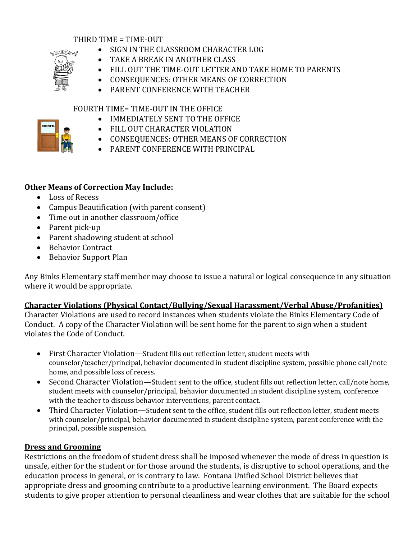#### THIRD TIME = TIME-OUT



- SIGN IN THE CLASSROOM CHARACTER LOG
- TAKE A BREAK IN ANOTHER CLASS
- FILL OUT THE TIME-OUT LETTER AND TAKE HOME TO PARENTS
- CONSEQUENCES: OTHER MEANS OF CORRECTION
	- PARENT CONFERENCE WITH TEACHER

#### FOURTH TIME= TIME-OUT IN THE OFFICE

- IMMEDIATELY SENT TO THE OFFICE
- FILL OUT CHARACTER VIOLATION
- CONSEQUENCES: OTHER MEANS OF CORRECTION
- PARENT CONFERENCE WITH PRINCIPAL

#### **Other Means of Correction May Include:**

- Loss of Recess
- Campus Beautification (with parent consent)
- Time out in another classroom/office
- Parent pick-up
- Parent shadowing student at school
- Behavior Contract
- Behavior Support Plan

Any Binks Elementary staff member may choose to issue a natural or logical consequence in any situation where it would be appropriate.

#### **Character Violations (Physical Contact/Bullying/Sexual Harassment/Verbal Abuse/Profanities)**

Character Violations are used to record instances when students violate the Binks Elementary Code of Conduct. A copy of the Character Violation will be sent home for the parent to sign when a student violates the Code of Conduct.

- First Character Violation—Student fills out reflection letter, student meets with counselor/teacher/principal, behavior documented in student discipline system, possible phone call/note home, and possible loss of recess.
- Second Character Violation—Student sent to the office, student fills out reflection letter, call/note home, student meets with counselor/principal, behavior documented in student discipline system, conference with the teacher to discuss behavior interventions, parent contact.
- Third Character Violation—Student sent to the office, student fills out reflection letter, student meets with counselor/principal, behavior documented in student discipline system, parent conference with the principal, possible suspension.

#### **Dress and Grooming**

Restrictions on the freedom of student dress shall be imposed whenever the mode of dress in question is unsafe, either for the student or for those around the students, is disruptive to school operations, and the education process in general, or is contrary to law. Fontana Unified School District believes that appropriate dress and grooming contribute to a productive learning environment. The Board expects students to give proper attention to personal cleanliness and wear clothes that are suitable for the school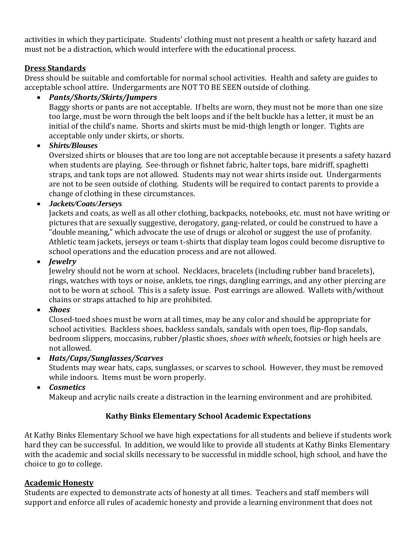activities in which they participate. Students' clothing must not present a health or safety hazard and must not be a distraction, which would interfere with the educational process.

#### **Dress Standards**

Dress should be suitable and comfortable for normal school activities. Health and safety are guides to acceptable school attire. Undergarments are NOT TO BE SEEN outside of clothing.

#### • *Pants/Shorts/Skirts/Jumpers*

Baggy shorts or pants are not acceptable. If belts are worn, they must not be more than one size too large, must be worn through the belt loops and if the belt buckle has a letter, it must be an initial of the child's name. Shorts and skirts must be mid-thigh length or longer. Tights are acceptable only under skirts, or shorts.

#### • *Shirts/Blouses*

Oversized shirts or blouses that are too long are not acceptable because it presents a safety hazard when students are playing. See-through or fishnet fabric, halter tops, bare midriff, spaghetti straps, and tank tops are not allowed. Students may not wear shirts inside out. Undergarments are not to be seen outside of clothing. Students will be required to contact parents to provide a change of clothing in these circumstances.

• *Jackets/Coats/Jerseys*

Jackets and coats, as well as all other clothing, backpacks, notebooks, etc. must not have writing or pictures that are sexually suggestive, derogatory, gang-related, or could be construed to have a "double meaning," which advocate the use of drugs or alcohol or suggest the use of profanity. Athletic team jackets, jerseys or team t-shirts that display team logos could become disruptive to school operations and the education process and are not allowed.

• *Jewelry* 

Jewelry should not be worn at school. Necklaces, bracelets (including rubber band bracelets), rings, watches with toys or noise, anklets, toe rings, dangling earrings, and any other piercing are not to be worn at school. This is a safety issue. Post earrings are allowed. Wallets with/without chains or straps attached to hip are prohibited.

• *Shoes*

Closed-toed shoes must be worn at all times, may be any color and should be appropriate for school activities. Backless shoes, backless sandals, sandals with open toes, flip-flop sandals, bedroom slippers, moccasins, rubber/plastic shoes, *shoes with wheels*, footsies or high heels are not allowed.

• *Hats/Caps/Sunglasses/Scarves*

Students may wear hats, caps, sunglasses, or scarves to school. However, they must be removed while indoors. Items must be worn properly.

• *Cosmetics*

Makeup and acrylic nails create a distraction in the learning environment and are prohibited.

#### **Kathy Binks Elementary School Academic Expectations**

At Kathy Binks Elementary School we have high expectations for all students and believe if students work hard they can be successful. In addition, we would like to provide all students at Kathy Binks Elementary with the academic and social skills necessary to be successful in middle school, high school, and have the choice to go to college.

#### **Academic Honesty**

Students are expected to demonstrate acts of honesty at all times. Teachers and staff members will support and enforce all rules of academic honesty and provide a learning environment that does not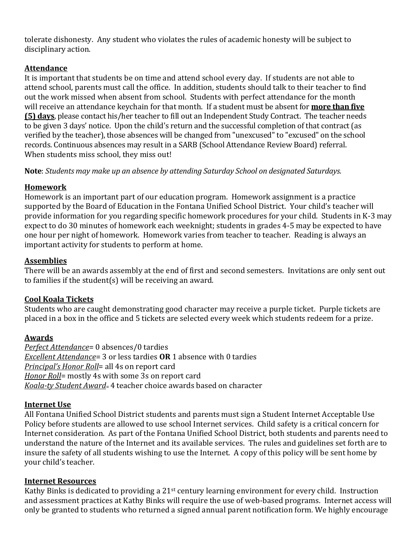tolerate dishonesty. Any student who violates the rules of academic honesty will be subject to disciplinary action.

#### **Attendance**

It is important that students be on time and attend school every day. If students are not able to attend school, parents must call the office. In addition, students should talk to their teacher to find out the work missed when absent from school. Students with perfect attendance for the month will receive an attendance keychain for that month. If a student must be absent for **more than five (5) days**, please contact his/her teacher to fill out an Independent Study Contract. The teacher needs to be given 3 days' notice. Upon the child's return and the successful completion of that contract (as verified by the teacher), those absences will be changed from "unexcused" to "excused" on the school records. Continuous absences may result in a SARB (School Attendance Review Board) referral. When students miss school, they miss out!

**Note**: *Students may make up an absence by attending Saturday School on designated Saturdays.* 

#### **Homework**

Homework is an important part of our education program. Homework assignment is a practice supported by the Board of Education in the Fontana Unified School District. Your child's teacher will provide information for you regarding specific homework procedures for your child. Students in K-3 may expect to do 30 minutes of homework each weeknight; students in grades 4-5 may be expected to have one hour per night of homework. Homework varies from teacher to teacher. Reading is always an important activity for students to perform at home.

#### **Assemblies**

There will be an awards assembly at the end of first and second semesters. Invitations are only sent out to families if the student(s) will be receiving an award.

#### **Cool Koala Tickets**

Students who are caught demonstrating good character may receive a purple ticket. Purple tickets are placed in a box in the office and 5 tickets are selected every week which students redeem for a prize.

#### **Awards**

*Perfect Attendance*= 0 absences/0 tardies *Excellent Attendance*= 3 or less tardies **OR** 1 absence with 0 tardies *Principal's Honor Roll*= all 4s on report card *Honor Roll*= mostly 4s with some 3s on report card *Koala-ty Student Award*= 4 teacher choice awards based on character

#### **Internet Use**

All Fontana Unified School District students and parents must sign a Student Internet Acceptable Use Policy before students are allowed to use school Internet services. Child safety is a critical concern for Internet consideration. As part of the Fontana Unified School District, both students and parents need to understand the nature of the Internet and its available services. The rules and guidelines set forth are to insure the safety of all students wishing to use the Internet. A copy of this policy will be sent home by your child's teacher.

#### **Internet Resources**

Kathy Binks is dedicated to providing a 21st century learning environment for every child. Instruction and assessment practices at Kathy Binks will require the use of web-based programs. Internet access will only be granted to students who returned a signed annual parent notification form*.* We highly encourage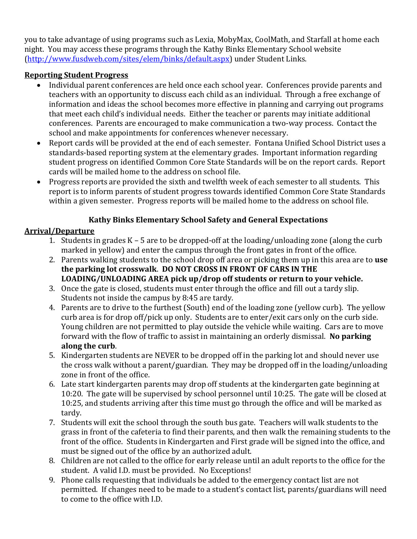you to take advantage of using programs such as Lexia, MobyMax, CoolMath, and Starfall at home each night. You may access these programs through the Kathy Binks Elementary School website [\(http://www.fusdweb.com/sites/elem/binks/default.aspx\)](http://www.fusdweb.com/sites/elem/binks/default.aspx) under Student Links.

#### **Reporting Student Progress**

- Individual parent conferences are held once each school year. Conferences provide parents and teachers with an opportunity to discuss each child as an individual. Through a free exchange of information and ideas the school becomes more effective in planning and carrying out programs that meet each child's individual needs. Either the teacher or parents may initiate additional conferences. Parents are encouraged to make communication a two-way process. Contact the school and make appointments for conferences whenever necessary.
- Report cards will be provided at the end of each semester. Fontana Unified School District uses a standards-based reporting system at the elementary grades. Important information regarding student progress on identified Common Core State Standards will be on the report cards. Report cards will be mailed home to the address on school file.
- Progress reports are provided the sixth and twelfth week of each semester to all students. This report is to inform parents of student progress towards identified Common Core State Standards within a given semester. Progress reports will be mailed home to the address on school file.

#### **Kathy Binks Elementary School Safety and General Expectations**

#### **Arrival/Departure**

- 1. Students in grades K 5 are to be dropped-off at the loading/unloading zone (along the curb marked in yellow) and enter the campus through the front gates in front of the office.
- 2. Parents walking students to the school drop off area or picking them up in this area are to **use the parking lot crosswalk**. **DO NOT CROSS IN FRONT OF CARS IN THE LOADING/UNLOADING AREA pick up/drop off students or return to your vehicle.**
- 3. Once the gate is closed, students must enter through the office and fill out a tardy slip. Students not inside the campus by 8:45 are tardy.
- 4. Parents are to drive to the furthest (South) end of the loading zone (yellow curb). The yellow curb area is for drop off/pick up only. Students are to enter/exit cars only on the curb side. Young children are not permitted to play outside the vehicle while waiting. Cars are to move forward with the flow of traffic to assist in maintaining an orderly dismissal. **No parking along the curb**.
- 5. Kindergarten students are NEVER to be dropped off in the parking lot and should never use the cross walk without a parent/guardian. They may be dropped off in the loading/unloading zone in front of the office.
- 6. Late start kindergarten parents may drop off students at the kindergarten gate beginning at 10:20. The gate will be supervised by school personnel until 10:25. The gate will be closed at 10:25, and students arriving after this time must go through the office and will be marked as tardy.
- 7. Students will exit the school through the south bus gate. Teachers will walk students to the grass in front of the cafeteria to find their parents, and then walk the remaining students to the front of the office. Students in Kindergarten and First grade will be signed into the office, and must be signed out of the office by an authorized adult.
- 8. Children are not called to the office for early release until an adult reports to the office for the student. A valid I.D. must be provided. No Exceptions!
- 9. Phone calls requesting that individuals be added to the emergency contact list are not permitted. If changes need to be made to a student's contact list, parents/guardians will need to come to the office with I.D.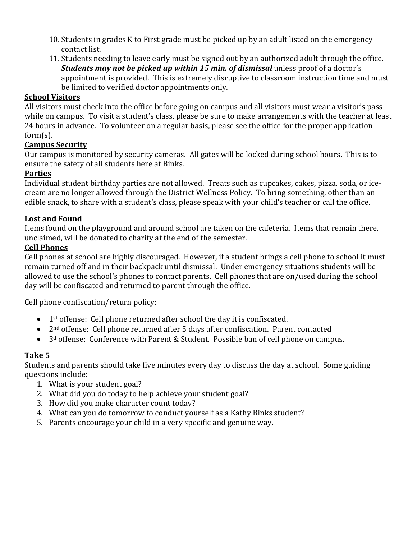- 10. Students in grades K to First grade must be picked up by an adult listed on the emergency contact list.
- 11. Students needing to leave early must be signed out by an authorized adult through the office. *Students may not be picked up within 15 min. of dismissal* unless proof of a doctor's appointment is provided. This is extremely disruptive to classroom instruction time and must be limited to verified doctor appointments only.

#### **School Visitors**

All visitors must check into the office before going on campus and all visitors must wear a visitor's pass while on campus. To visit a student's class, please be sure to make arrangements with the teacher at least 24 hours in advance. To volunteer on a regular basis, please see the office for the proper application form(s).

#### **Campus Security**

Our campus is monitored by security cameras. All gates will be locked during school hours. This is to ensure the safety of all students here at Binks.

#### **Parties**

Individual student birthday parties are not allowed. Treats such as cupcakes, cakes, pizza, soda, or icecream are no longer allowed through the District Wellness Policy. To bring something, other than an edible snack, to share with a student's class, please speak with your child's teacher or call the office.

#### **Lost and Found**

Items found on the playground and around school are taken on the cafeteria. Items that remain there, unclaimed, will be donated to charity at the end of the semester.

#### **Cell Phones**

Cell phones at school are highly discouraged. However, if a student brings a cell phone to school it must remain turned off and in their backpack until dismissal. Under emergency situations students will be allowed to use the school's phones to contact parents. Cell phones that are on/used during the school day will be confiscated and returned to parent through the office.

Cell phone confiscation/return policy:

- 1<sup>st</sup> offense: Cell phone returned after school the day it is confiscated.
- 2nd offense: Cell phone returned after 5 days after confiscation. Parent contacted
- 3<sup>d</sup> offense: Conference with Parent & Student. Possible ban of cell phone on campus.

#### **Take 5**

Students and parents should take five minutes every day to discuss the day at school. Some guiding questions include:

- 1. What is your student goal?
- 2. What did you do today to help achieve your student goal?
- 3. How did you make character count today?
- 4. What can you do tomorrow to conduct yourself as a Kathy Binks student?
- 5. Parents encourage your child in a very specific and genuine way.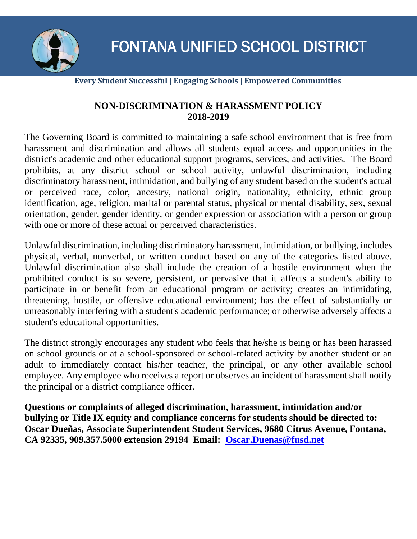

#### **Every Student Successful | Engaging Schools | Empowered Communities**

#### **NON-DISCRIMINATION & HARASSMENT POLICY 2018-2019**

The Governing Board is committed to maintaining a safe school environment that is free from harassment and discrimination and allows all students equal access and opportunities in the district's academic and other educational support programs, services, and activities. The Board prohibits, at any district school or school activity, unlawful discrimination, including discriminatory harassment, intimidation, and bullying of any student based on the student's actual or perceived race, color, ancestry, national origin, nationality, ethnicity, ethnic group identification, age, religion, marital or parental status, physical or mental disability, sex, sexual orientation, gender, gender identity, or gender expression or association with a person or group with one or more of these actual or perceived characteristics.

Unlawful discrimination, including discriminatory harassment, intimidation, or bullying, includes physical, verbal, nonverbal, or written conduct based on any of the categories listed above. Unlawful discrimination also shall include the creation of a hostile environment when the prohibited conduct is so severe, persistent, or pervasive that it affects a student's ability to participate in or benefit from an educational program or activity; creates an intimidating, threatening, hostile, or offensive educational environment; has the effect of substantially or unreasonably interfering with a student's academic performance; or otherwise adversely affects a student's educational opportunities.

The district strongly encourages any student who feels that he/she is being or has been harassed on school grounds or at a school-sponsored or school-related activity by another student or an adult to immediately contact his/her teacher, the principal, or any other available school employee. Any employee who receives a report or observes an incident of harassment shall notify the principal or a district compliance officer.

**Questions or complaints of alleged discrimination, harassment, intimidation and/or bullying or Title IX equity and compliance concerns for students should be directed to: Oscar Dueñas, Associate Superintendent Student Services, 9680 Citrus Avenue, Fontana, CA 92335, 909.357.5000 extension 29194 Email: [Oscar.Duenas@fusd.net](mailto:Oscar.Duenas@fusd.net)**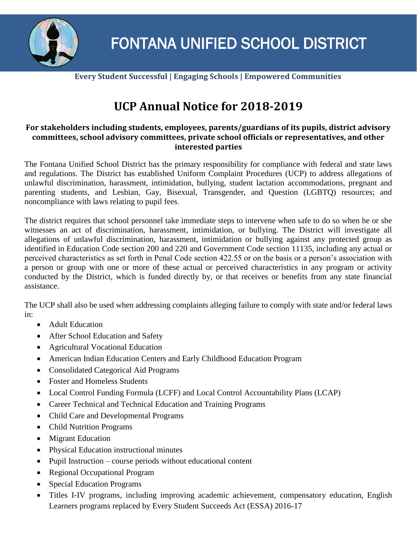

**Every Student Successful | Engaging Schools | Empowered Communities**

### **UCP Annual Notice for 2018-2019**

#### **For stakeholders including students, employees, parents/guardians of its pupils, district advisory committees, school advisory committees, private school officials or representatives, and other interested parties**

The Fontana Unified School District has the primary responsibility for compliance with federal and state laws and regulations. The District has established Uniform Complaint Procedures (UCP) to address allegations of unlawful discrimination, harassment, intimidation, bullying, student lactation accommodations, pregnant and parenting students, and Lesbian, Gay, Bisexual, Transgender, and Question (LGBTQ) resources; and noncompliance with laws relating to pupil fees.

The district requires that school personnel take immediate steps to intervene when safe to do so when he or she witnesses an act of discrimination, harassment, intimidation, or bullying. The District will investigate all allegations of unlawful discrimination, harassment, intimidation or bullying against any protected group as identified in Education Code section 200 and 220 and Government Code section 11135, including any actual or perceived characteristics as set forth in Penal Code section 422.55 or on the basis or a person's association with a person or group with one or more of these actual or perceived characteristics in any program or activity conducted by the District, which is funded directly by, or that receives or benefits from any state financial assistance.

The UCP shall also be used when addressing complaints alleging failure to comply with state and/or federal laws in:

- Adult Education
- After School Education and Safety
- Agricultural Vocational Education
- American Indian Education Centers and Early Childhood Education Program
- Consolidated Categorical Aid Programs
- Foster and Homeless Students
- Local Control Funding Formula (LCFF) and Local Control Accountability Plans (LCAP)
- Career Technical and Technical Education and Training Programs
- Child Care and Developmental Programs
- Child Nutrition Programs
- Migrant Education
- Physical Education instructional minutes
- Pupil Instruction course periods without educational content
- Regional Occupational Program
- Special Education Programs
- Titles I-IV programs, including improving academic achievement, compensatory education, English Learners programs replaced by Every Student Succeeds Act (ESSA) 2016-17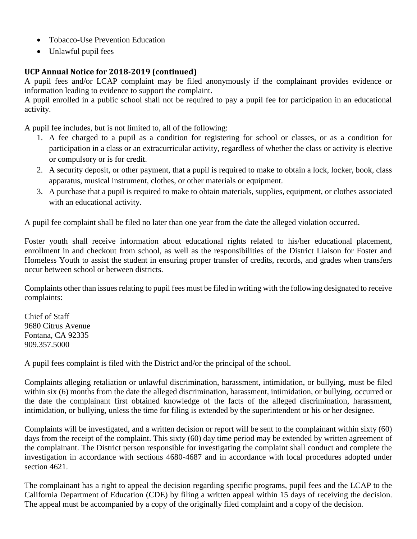- Tobacco-Use Prevention Education
- Unlawful pupil fees

#### **UCP Annual Notice for 2018-2019 (continued)**

A pupil fees and/or LCAP complaint may be filed anonymously if the complainant provides evidence or information leading to evidence to support the complaint.

A pupil enrolled in a public school shall not be required to pay a pupil fee for participation in an educational activity.

A pupil fee includes, but is not limited to, all of the following:

- 1. A fee charged to a pupil as a condition for registering for school or classes, or as a condition for participation in a class or an extracurricular activity, regardless of whether the class or activity is elective or compulsory or is for credit.
- 2. A security deposit, or other payment, that a pupil is required to make to obtain a lock, locker, book, class apparatus, musical instrument, clothes, or other materials or equipment.
- 3. A purchase that a pupil is required to make to obtain materials, supplies, equipment, or clothes associated with an educational activity.

A pupil fee complaint shall be filed no later than one year from the date the alleged violation occurred.

Foster youth shall receive information about educational rights related to his/her educational placement, enrollment in and checkout from school, as well as the responsibilities of the District Liaison for Foster and Homeless Youth to assist the student in ensuring proper transfer of credits, records, and grades when transfers occur between school or between districts.

Complaints other than issues relating to pupil fees must be filed in writing with the following designated to receive complaints:

Chief of Staff 9680 Citrus Avenue Fontana, CA 92335 909.357.5000

A pupil fees complaint is filed with the District and/or the principal of the school.

Complaints alleging retaliation or unlawful discrimination, harassment, intimidation, or bullying, must be filed within six (6) months from the date the alleged discrimination, harassment, intimidation, or bullying, occurred or the date the complainant first obtained knowledge of the facts of the alleged discrimination, harassment, intimidation, or bullying, unless the time for filing is extended by the superintendent or his or her designee.

Complaints will be investigated, and a written decision or report will be sent to the complainant within sixty (60) days from the receipt of the complaint. This sixty (60) day time period may be extended by written agreement of the complainant. The District person responsible for investigating the complaint shall conduct and complete the investigation in accordance with sections 4680-4687 and in accordance with local procedures adopted under section 4621.

The complainant has a right to appeal the decision regarding specific programs, pupil fees and the LCAP to the California Department of Education (CDE) by filing a written appeal within 15 days of receiving the decision. The appeal must be accompanied by a copy of the originally filed complaint and a copy of the decision.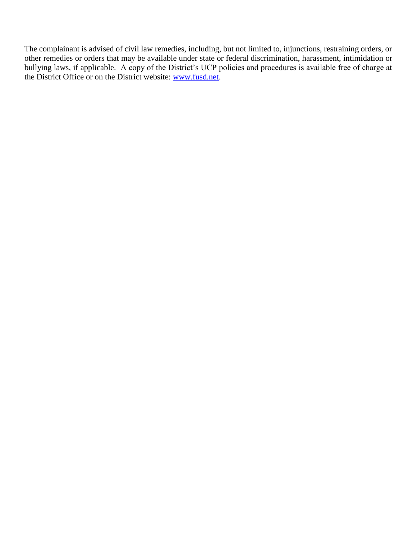The complainant is advised of civil law remedies, including, but not limited to, injunctions, restraining orders, or other remedies or orders that may be available under state or federal discrimination, harassment, intimidation or bullying laws, if applicable. A copy of the District's UCP policies and procedures is available free of charge at the District Office or on the District website: [www.fusd.net.](http://www.fusd.net/)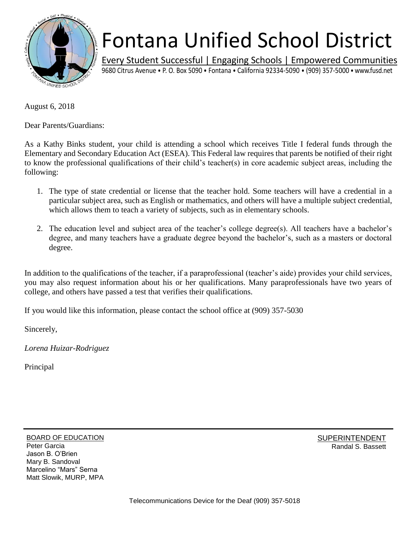

## Fontana Unified School District

Every Student Successful | Engaging Schools | Empowered Communities 9680 Citrus Avenue • P. O. Box 5090 • Fontana • California 92334-5090 • (909) 357-5000 • www.fusd.net

August 6, 2018

Dear Parents/Guardians:

As a Kathy Binks student, your child is attending a school which receives Title I federal funds through the Elementary and Secondary Education Act (ESEA). This Federal law requires that parents be notified of their right to know the professional qualifications of their child's teacher(s) in core academic subject areas, including the following:

- 1. The type of state credential or license that the teacher hold. Some teachers will have a credential in a particular subject area, such as English or mathematics, and others will have a multiple subject credential, which allows them to teach a variety of subjects, such as in elementary schools.
- 2. The education level and subject area of the teacher's college degree(s). All teachers have a bachelor's degree, and many teachers have a graduate degree beyond the bachelor's, such as a masters or doctoral degree.

In addition to the qualifications of the teacher, if a paraprofessional (teacher's aide) provides your child services, you may also request information about his or her qualifications. Many paraprofessionals have two years of college, and others have passed a test that verifies their qualifications.

If you would like this information, please contact the school office at (909) 357-5030

Sincerely,

*Lorena Huizar-Rodriguez*

Principal

BOARD OF EDUCATION Peter Garcia Jason B. O'Brien Mary B. Sandoval Marcelino "Mars" Serna Matt Slowik, MURP, MPA SUPERINTENDENT Randal S. Bassett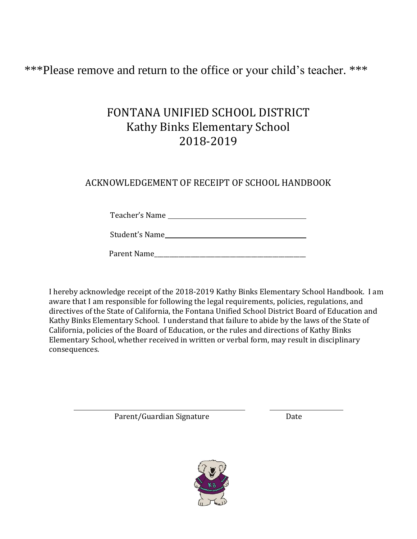\*\*\*Please remove and return to the office or your child's teacher. \*\*\*

#### FONTANA UNIFIED SCHOOL DISTRICT Kathy Binks Elementary School 2018-2019

#### ACKNOWLEDGEMENT OF RECEIPT OF SCHOOL HANDBOOK

Teacher's Name

Student's Name

Parent Name\_\_\_\_\_\_\_\_\_\_\_\_\_\_\_\_\_\_\_\_\_\_\_\_\_\_\_\_\_\_\_\_\_\_\_\_\_\_\_\_\_\_\_\_\_\_\_\_\_\_

I hereby acknowledge receipt of the 2018-2019 Kathy Binks Elementary School Handbook. I am aware that I am responsible for following the legal requirements, policies, regulations, and directives of the State of California, the Fontana Unified School District Board of Education and Kathy Binks Elementary School. I understand that failure to abide by the laws of the State of California, policies of the Board of Education, or the rules and directions of Kathy Binks Elementary School, whether received in written or verbal form, may result in disciplinary consequences.

Parent/Guardian Signature Date